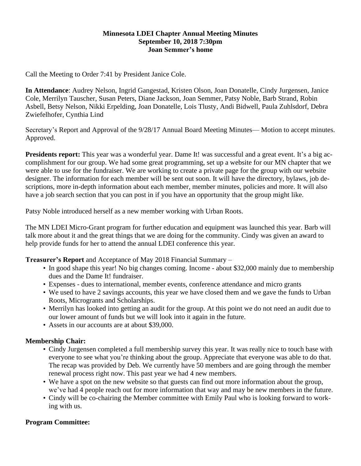#### **Minnesota LDEI Chapter Annual Meeting Minutes September 10, 2018 7:30pm Joan Semmer's home**

Call the Meeting to Order 7:41 by President Janice Cole.

**In Attendance**: Audrey Nelson, Ingrid Gangestad, Kristen Olson, Joan Donatelle, Cindy Jurgensen, Janice Cole, Merrilyn Tauscher, Susan Peters, Diane Jackson, Joan Semmer, Patsy Noble, Barb Strand, Robin Asbell, Betsy Nelson, Nikki Erpelding, Joan Donatelle, Lois Tlusty, Andi Bidwell, Paula Zuhlsdorf, Debra Zwiefelhofer, Cynthia Lind

Secretary's Report and Approval of the 9/28/17 Annual Board Meeting Minutes— Motion to accept minutes. Approved.

**Presidents report:** This year was a wonderful year. Dame It! was successful and a great event. It's a big accomplishment for our group. We had some great programming, set up a website for our MN chapter that we were able to use for the fundraiser. We are working to create a private page for the group with our website designer. The information for each member will be sent out soon. It will have the directory, bylaws, job descriptions, more in-depth information about each member, member minutes, policies and more. It will also have a job search section that you can post in if you have an opportunity that the group might like.

Patsy Noble introduced herself as a new member working with Urban Roots.

The MN LDEI Micro-Grant program for further education and equipment was launched this year. Barb will talk more about it and the great things that we are doing for the community. Cindy was given an award to help provide funds for her to attend the annual LDEI conference this year.

**Treasurer's Report** and Acceptance of May 2018 Financial Summary –

- In good shape this year! No big changes coming. Income about \$32,000 mainly due to membership dues and the Dame It! fundraiser.
- Expenses dues to international, member events, conference attendance and micro grants
- We used to have 2 savings accounts, this year we have closed them and we gave the funds to Urban Roots, Microgrants and Scholarships.
- Merrilyn has looked into getting an audit for the group. At this point we do not need an audit due to our lower amount of funds but we will look into it again in the future.
- Assets in our accounts are at about \$39,000.

### **Membership Chair:**

- Cindy Jurgensen completed a full membership survey this year. It was really nice to touch base with everyone to see what you're thinking about the group. Appreciate that everyone was able to do that. The recap was provided by Deb. We currently have 50 members and are going through the member renewal process right now. This past year we had 4 new members.
- We have a spot on the new website so that guests can find out more information about the group, we've had 4 people reach out for more information that way and may be new members in the future.
- Cindy will be co-chairing the Member committee with Emily Paul who is looking forward to working with us.

# **Program Committee:**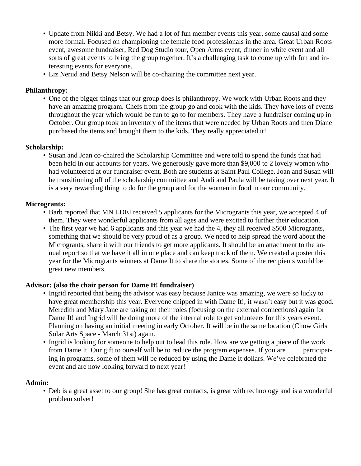- Update from Nikki and Betsy. We had a lot of fun member events this year, some causal and some more formal. Focused on championing the female food professionals in the area. Great Urban Roots event, awesome fundraiser, Red Dog Studio tour, Open Arms event, dinner in white event and all sorts of great events to bring the group together. It's a challenging task to come up with fun and interesting events for everyone.
- Liz Nerud and Betsy Nelson will be co-chairing the committee next year.

## **Philanthropy:**

• One of the bigger things that our group does is philanthropy. We work with Urban Roots and they have an amazing program. Chefs from the group go and cook with the kids. They have lots of events throughout the year which would be fun to go to for members. They have a fundraiser coming up in October. Our group took an inventory of the items that were needed by Urban Roots and then Diane purchased the items and brought them to the kids. They really appreciated it!

## **Scholarship:**

• Susan and Joan co-chaired the Scholarship Committee and were told to spend the funds that had been held in our accounts for years. We generously gave more than \$9,000 to 2 lovely women who had volunteered at our fundraiser event. Both are students at Saint Paul College. Joan and Susan will be transitioning off of the scholarship committee and Andi and Paula will be taking over next year. It is a very rewarding thing to do for the group and for the women in food in our community.

## **Microgrants:**

- Barb reported that MN LDEI received 5 applicants for the Microgrants this year, we accepted 4 of them. They were wonderful applicants from all ages and were excited to further their education.
- The first year we had 6 applicants and this year we had the 4, they all received \$500 Microgrants, something that we should be very proud of as a group. We need to help spread the word about the Microgrants, share it with our friends to get more applicants. It should be an attachment to the annual report so that we have it all in one place and can keep track of them. We created a poster this year for the Microgrants winners at Dame It to share the stories. Some of the recipients would be great new members.

# **Advisor: (also the chair person for Dame It! fundraiser)**

- Ingrid reported that being the advisor was easy because Janice was amazing, we were so lucky to have great membership this year. Everyone chipped in with Dame It!, it wasn't easy but it was good. Meredith and Mary Jane are taking on their roles (focusing on the external connections) again for Dame It! and Ingrid will be doing more of the internal role to get volunteers for this years event. Planning on having an initial meeting in early October. It will be in the same location (Chow Girls Solar Arts Space - March 31st) again.
- Ingrid is looking for someone to help out to lead this role. How are we getting a piece of the work from Dame It. Our gift to ourself will be to reduce the program expenses. If you are participating in programs, some of them will be reduced by using the Dame It dollars. We've celebrated the event and are now looking forward to next year!

### **Admin:**

• Deb is a great asset to our group! She has great contacts, is great with technology and is a wonderful problem solver!